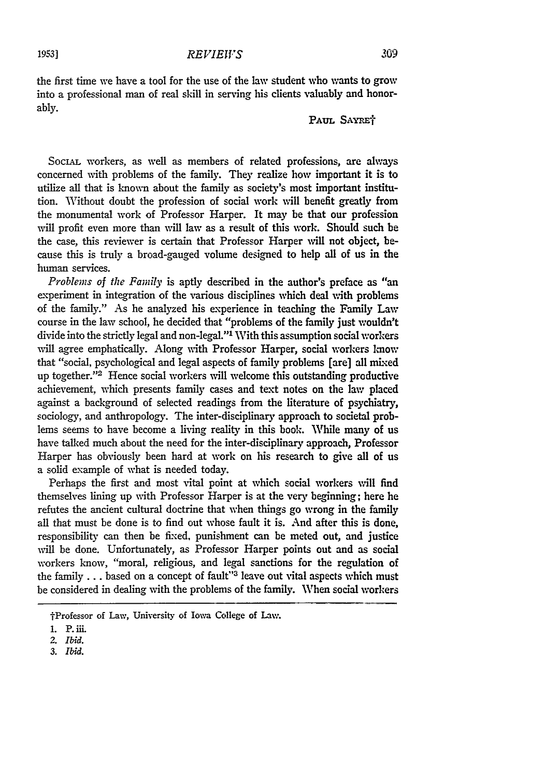## *REVIEWS*

the first time we have a tool for the use of the law student who wants to grow into a professional man of real skill in serving his clients valuably and honorably.

PAUL SAYRET

SocIAL workers, as well as members of related professions, are always concerned with problems of the family. **They** realize how important it is to utilize all that is known about the family as society's most important institution. Without doubt the profession of social work will benefit greatly from the monumental work of Professor Harper. It may be that our profession will profit even more than will law as a result of this work. Should such be the case, this reviewer is certain that Professor Harper will not object, because this is truly a broad-gauged volume designed to help all of us in the human services.

*Problems of the Family* is aptly described in the author's preface as "an experiment in integration of the various disciplines which deal with problems of the family." As he analyzed his experience in teaching the Family Law course in the law school, he decided that "problems of the family just wouldn't divide into the strictly legal and non-legal."' With this assumption social workers will agree emphatically. Along with Professor Harper, social workers know that "social, psychological and legal aspects of family problems [are] all mixed up together."2 Hence social workers will welcome this outstanding productive achievement, which presents family cases and text notes on the law placed against a background of selected readings from the literature of psychiatry, sociology, and anthropology. The inter-disciplinary approach to societal problems seems to have become a living reality in this book. While many of us have talked much about the need for the inter-disciplinary approach, Professor Harper has obviously been hard at work on his research to give all of us a solid example of what is needed today.

Perhaps the first and most vital point at which social workers will find themselves lining up with Professor Harper is at the very beginning; here he refutes the ancient cultural doctrine that when things go wrong in the family all that must be done is to find out whose fault it is. And after this is done, responsibility can then be fixed, punishment can be meted out, and justice will be done. Unfortunately, as Professor Harper points out and as social workers know, "moral, religious, and legal sanctions for the regulation of the family . . . based on a concept of fault"<sup>3</sup> leave out vital aspects which must be considered in dealing with the problems of the family. When social workers

**3.** *Ibid.*

tProfessor of Law, University of Iova College of Law.

**<sup>1.</sup> P.** i.

*<sup>2.</sup> Ibid.*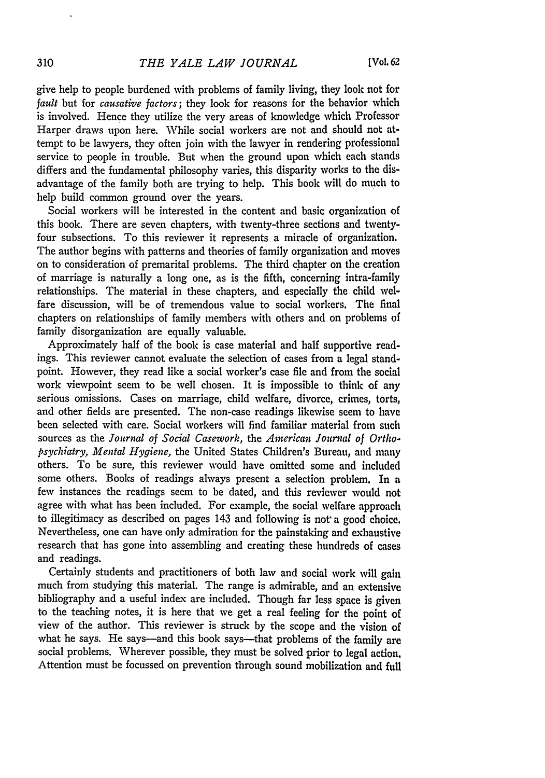give help to people burdened with problems of family living, they look not for *fault* but for *causative factors;* they look for reasons for the behavior which is involved. Hence they utilize the very areas of knowledge which Professor Harper draws upon here. While social workers are not and should not attempt to be lawyers, they often join with the lawyer in rendering professional service to people in trouble. But when the ground upon which each stands differs and the fundamental philosophy varies, this disparity works to the disadvantage of the family both are trying to help. This book will do much to help build common ground over the years.

Social workers will be interested in the content and basic organization of this book. There are seven chapters, with twenty-three sections and twentyfour subsections. To this reviewer it represents a miracle of organization. The author begins with patterns and theories of family organization and moves on to consideration of premarital problems. The third chapter on the creation of marriage is naturally a long one, as is the fifth, concerning intra-family relationships. The material in these chapters, and especially the child welfare discussion, will be of tremendous value to social workers. The final chapters on relationships of family members with others and on problems of family disorganization are equally valuable.

Approximately half of the book is case material and half supportive readings. This reviewer cannot evaluate the selection of cases from a legal standpoint. However, they read like a social worker's case file and from the social work viewpoint seem to be well chosen. It is impossible to think of any serious omissions. Cases on marriage, child welfare, divorce, crimes, torts, and other fields are presented. The non-case readings likewise seem to have been selected with care. Social workers will find familiar material from such sources as the *Journal of Social Casework,* the *American Journal of Orthopsychiatry, Mental Hygiene,* the United States Children's Bureau, and many others. To be sure, this reviewer would have omitted some and included some others. Books of readings always present a selection problem. In a few instances the readings seem to be dated, and this reviewer would not agree with what has been included. For example, the social welfare approach to illegitimacy as described on pages 143 and following is not' a good choice. Nevertheless, one can have only admiration for the painstaking and exhaustive research that has gone into assembling and creating these hundreds of cases and readings.

Certainly students and practitioners of both law and social work will gain much from studying this material. The range is admirable, and an extensive bibliography and a useful index are included. Though far less space is given to the teaching notes, it is here that we get a real feeling for the point of view of the author. This reviewer is struck by the scope and the vision of what he says. He says-and this book says-that problems of the family are social problems. Wherever possible, they must be solved prior to legal action. Attention must be focussed on prevention through sound mobilization and full